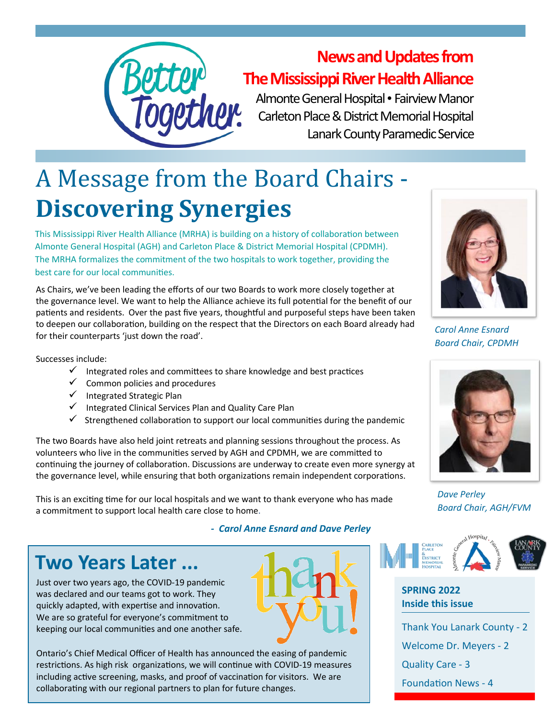

#### **News and Updates from The Mississippi River Health Alliance**

Almonte General Hospital • Fairview Manor Carleton Place & District Memorial Hospital Lanark County Paramedic Service

# A Message from the Board Chairs - **Discovering Synergies**

This Mississippi River Health Alliance (MRHA) is building on a history of collaboration between Almonte General Hospital (AGH) and Carleton Place & District Memorial Hospital (CPDMH). The MRHA formalizes the commitment of the two hospitals to work together, providing the best care for our local communities.

As Chairs, we've been leading the efforts of our two Boards to work more closely together at the governance level. We want to help the Alliance achieve its full potential for the benefit of our patients and residents. Over the past five years, thoughtful and purposeful steps have been taken to deepen our collaboration, building on the respect that the Directors on each Board already had for their counterparts 'just down the road'.

Successes include:

- $\checkmark$  Integrated roles and committees to share knowledge and best practices
- $\checkmark$  Common policies and procedures
- ✓ Integrated Strategic Plan
- Integrated Clinical Services Plan and Quality Care Plan
- $\checkmark$  Strengthened collaboration to support our local communities during the pandemic

The two Boards have also held joint retreats and planning sessions throughout the process. As volunteers who live in the communities served by AGH and CPDMH, we are committed to continuing the journey of collaboration. Discussions are underway to create even more synergy at the governance level, while ensuring that both organizations remain independent corporations.

This is an exciting time for our local hospitals and we want to thank everyone who has made a commitment to support local health care close to home.

*- Carol Anne Esnard and Dave Perley*

### **Two Years Later ...**

Just over two years ago, the COVID-19 pandemic was declared and our teams got to work. They quickly adapted, with expertise and innovation. We are so grateful for everyone's commitment to keeping our local communities and one another safe.

Ontario's Chief Medical Officer of Health has announced the easing of pandemic restrictions. As high risk organizations, we will continue with COVID-19 measures including active screening, masks, and proof of vaccination for visitors. We are collaborating with our regional partners to plan for future changes.



*Carol Anne Esnard Board Chair, CPDMH*



*Dave Perley Board Chair, AGH/FVM*



#### **SPRING 2022 Inside this issue**

Thank You Lanark County - 2 Welcome Dr. Meyers - 2 Quality Care - 3 Foundation News - 4

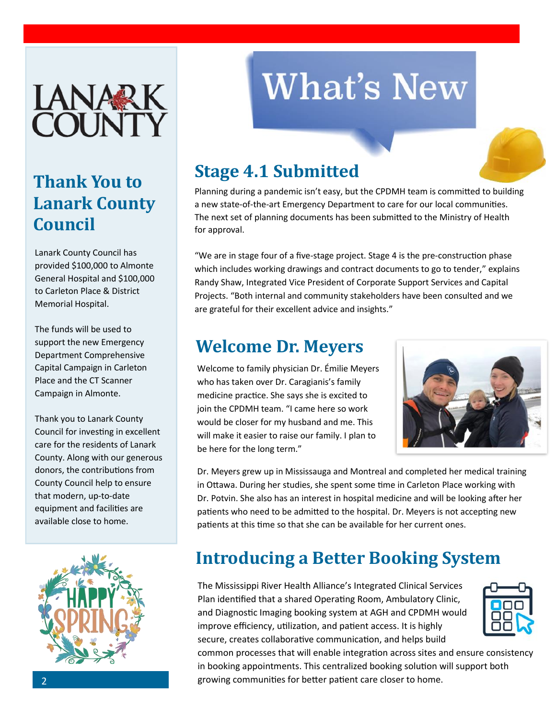

### **Thank You to Lanark County Council**

Lanark County Council has provided \$100,000 to Almonte General Hospital and \$100,000 to Carleton Place & District Memorial Hospital.

The funds will be used to support the new Emergency Department Comprehensive Capital Campaign in Carleton Place and the CT Scanner Campaign in Almonte.

Thank you to Lanark County Council for investing in excellent care for the residents of Lanark County. Along with our generous donors, the contributions from County Council help to ensure that modern, up-to-date equipment and facilities are available close to home.



# **What's New**

#### **Stage 4.1 Submitted**

Planning during a pandemic isn't easy, but the CPDMH team is committed to building a new state-of-the-art Emergency Department to care for our local communities. The next set of planning documents has been submitted to the Ministry of Health for approval.

"We are in stage four of a five-stage project. Stage 4 is the pre-construction phase which includes working drawings and contract documents to go to tender," explains Randy Shaw, Integrated Vice President of Corporate Support Services and Capital Projects. "Both internal and community stakeholders have been consulted and we are grateful for their excellent advice and insights."

#### **Welcome Dr. Meyers**

Welcome to family physician Dr. Émilie Meyers who has taken over Dr. Caragianis's family medicine practice. She says she is excited to join the CPDMH team. "I came here so work would be closer for my husband and me. This will make it easier to raise our family. I plan to be here for the long term."



Dr. Meyers grew up in Mississauga and Montreal and completed her medical training in Ottawa. During her studies, she spent some time in Carleton Place working with Dr. Potvin. She also has an interest in hospital medicine and will be looking after her patients who need to be admitted to the hospital. Dr. Meyers is not accepting new patients at this time so that she can be available for her current ones.

### **Introducing a Better Booking System**

The Mississippi River Health Alliance's Integrated Clinical Services Plan identified that a shared Operating Room, Ambulatory Clinic, and Diagnostic Imaging booking system at AGH and CPDMH would improve efficiency, utilization, and patient access. It is highly secure, creates collaborative communication, and helps build



common processes that will enable integration across sites and ensure consistency in booking appointments. This centralized booking solution will support both growing communities for better patient care closer to home.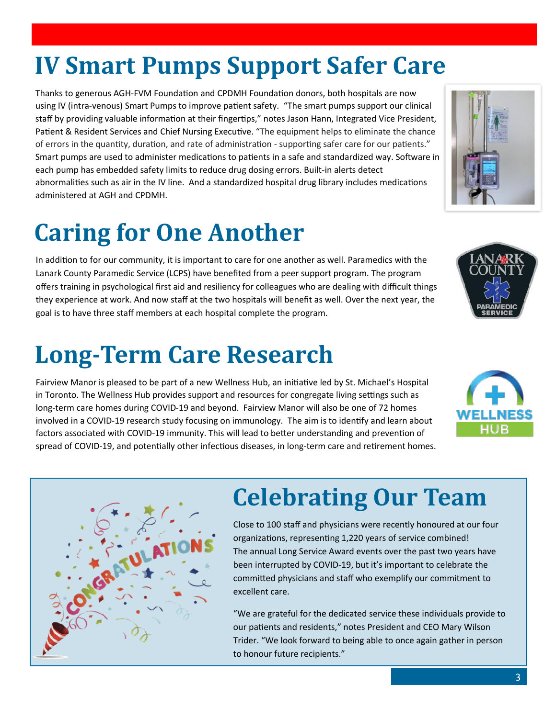# **IV Smart Pumps Support Safer Care**

Thanks to generous AGH-FVM Foundation and CPDMH Foundation donors, both hospitals are now using IV (intra-venous) Smart Pumps to improve patient safety. "The smart pumps support our clinical staff by providing valuable information at their fingertips," notes Jason Hann, Integrated Vice President, Patient & Resident Services and Chief Nursing Executive. "The equipment helps to eliminate the chance of errors in the quantity, duration, and rate of administration - supporting safer care for our patients." Smart pumps are used to administer medications to patients in a safe and standardized way. Software in each pump has embedded safety limits to reduce drug dosing errors. Built-in alerts detect abnormalities such as air in the IV line. And a standardized hospital drug library includes medications administered at AGH and CPDMH.

## **Caring for One Another**

In addition to for our community, it is important to care for one another as well. Paramedics with the Lanark County Paramedic Service (LCPS) have benefited from a peer support program. The program offers training in psychological first aid and resiliency for colleagues who are dealing with difficult things they experience at work. And now staff at the two hospitals will benefit as well. Over the next year, the goal is to have three staff members at each hospital complete the program.

### **Long-Term Care Research**

Fairview Manor is pleased to be part of a new Wellness Hub, an initiative led by St. Michael's Hospital in Toronto. The Wellness Hub provides support and resources for congregate living settings such as long-term care homes during COVID-19 and beyond. Fairview Manor will also be one of 72 homes involved in a COVID-19 research study focusing on immunology. The aim is to identify and learn about factors associated with COVID-19 immunity. This will lead to better understanding and prevention of spread of COVID-19, and potentially other infectious diseases, in long-term care and retirement homes.

### **Celebrating Our Team**

Close to 100 staff and physicians were recently honoured at our four organizations, representing 1,220 years of service combined! The annual Long Service Award events over the past two years have been interrupted by COVID-19, but it's important to celebrate the committed physicians and staff who exemplify our commitment to excellent care.

"We are grateful for the dedicated service these individuals provide to our patients and residents," notes President and CEO Mary Wilson Trider. "We look forward to being able to once again gather in person to honour future recipients."